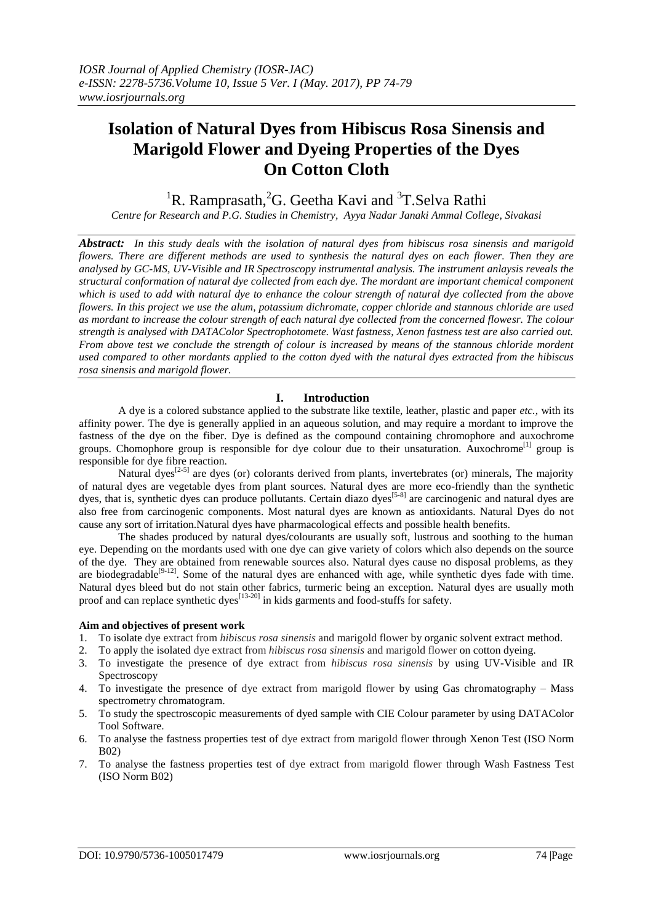# **Isolation of Natural Dyes from Hibiscus Rosa Sinensis and Marigold Flower and Dyeing Properties of the Dyes On Cotton Cloth**

<sup>1</sup>R. Ramprasath, <sup>2</sup>G. Geetha Kavi and <sup>3</sup>T. Selva Rathi

*Centre for Research and P.G. Studies in Chemistry, Ayya Nadar Janaki Ammal College, Sivakasi*

*Abstract: In this study deals with the isolation of natural dyes from hibiscus rosa sinensis and marigold flowers. There are different methods are used to synthesis the natural dyes on each flower. Then they are analysed by GC-MS, UV-Visible and IR Spectroscopy instrumental analysis. The instrument anlaysis reveals the structural conformation of natural dye collected from each dye. The mordant are important chemical component which is used to add with natural dye to enhance the colour strength of natural dye collected from the above flowers. In this project we use the alum, potassium dichromate, copper chloride and stannous chloride are used as mordant to increase the colour strength of each natural dye collected from the concerned flowesr. The colour strength is analysed with DATAColor Spectrophotomete. Wast fastness, Xenon fastness test are also carried out. From above test we conclude the strength of colour is increased by means of the stannous chloride mordent used compared to other mordants applied to the cotton dyed with the natural dyes extracted from the hibiscus rosa sinensis and marigold flower.*

## **I. Introduction**

A dye is a colored substance applied to the substrate like textile, leather, plastic and paper *etc.,* with its affinity power. The dye is generally applied in an aqueous solution, and may require a mordant to improve the fastness of the dye on the fiber. Dye is defined as the compound containing chromophore and auxochrome groups. Chomophore group is responsible for dye colour due to their unsaturation. Auxochrome<sup>[1]</sup> group is responsible for dye fibre reaction.

Natural dyes<sup> $[2-5]$ </sup> are dyes (or) colorants derived from plants, invertebrates (or) minerals, The majority of natural dyes are vegetable dyes from plant sources. Natural dyes are more eco-friendly than the synthetic dyes, that is, synthetic dyes can produce pollutants. Certain diazo dyes<sup>[5-8]</sup> are carcinogenic and natural dyes are also free from carcinogenic components. Most natural dyes are known as antioxidants. Natural Dyes do not cause any sort of irritation.Natural dyes have pharmacological effects and possible health benefits.

The shades produced by natural dyes/colourants are usually soft, lustrous and soothing to the human eye. Depending on the mordants used with one dye can give variety of colors which also depends on the source of the dye. They are obtained from renewable sources also. Natural dyes cause no disposal problems, as they are biodegradable<sup>[9-12]</sup>. Some of the natural dyes are enhanced with age, while synthetic dyes fade with time. Natural dyes bleed but do not stain other fabrics, turmeric being an exception. Natural dyes are usually moth proof and can replace synthetic dyes<sup> $[13-20]$ </sup> in kids garments and food-stuffs for safety.

#### **Aim and objectives of present work**

- 1. To isolate dye extract from *hibiscus rosa sinensis* and marigold flower by organic solvent extract method.
- 2. To apply the isolated dye extract from *hibiscus rosa sinensis* and marigold flower on cotton dyeing.
- 3. To investigate the presence of dye extract from *hibiscus rosa sinensis* by using UV-Visible and IR Spectroscopy
- 4. To investigate the presence of dye extract from marigold flower by using Gas chromatography Mass spectrometry chromatogram.
- 5. To study the spectroscopic measurements of dyed sample with CIE Colour parameter by using DATAColor Tool Software.
- 6. To analyse the fastness properties test of dye extract from marigold flower through Xenon Test (ISO Norm B02)
- 7. To analyse the fastness properties test of dye extract from marigold flower through Wash Fastness Test (ISO Norm B02)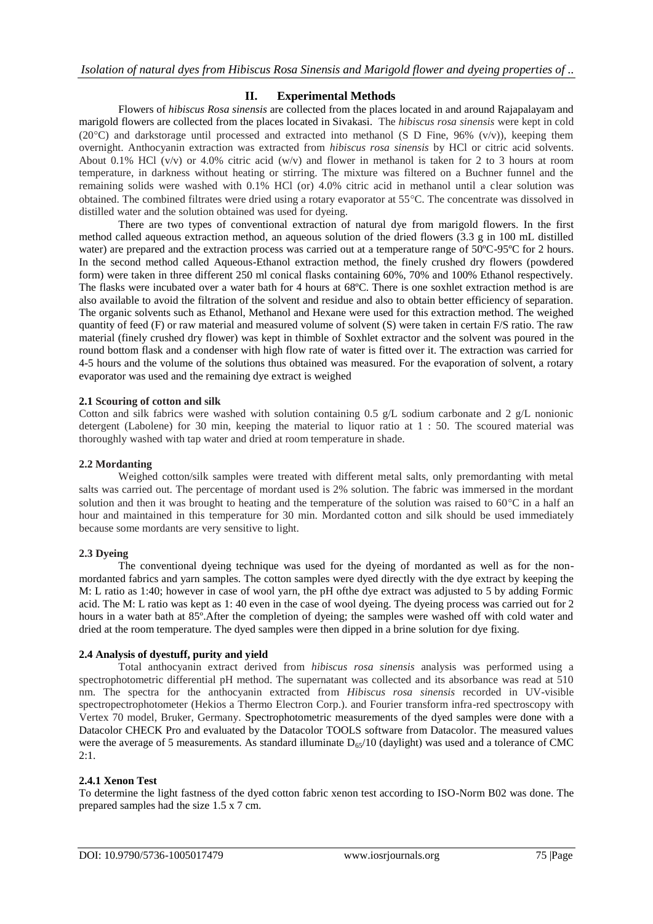# **II. Experimental Methods**

Flowers of *hibiscus Rosa sinensis* are collected from the places located in and around Rajapalayam and marigold flowers are collected from the places located in Sivakasi. The *hibiscus rosa sinensis* were kept in cold (20 $^{\circ}$ C) and darkstorage until processed and extracted into methanol (S D Fine, 96% (v/v)), keeping them overnight. Anthocyanin extraction was extracted from *hibiscus rosa sinensis* by HCl or citric acid solvents. About 0.1% HCl (v/v) or 4.0% citric acid (w/v) and flower in methanol is taken for 2 to 3 hours at room temperature, in darkness without heating or stirring. The mixture was filtered on a Buchner funnel and the remaining solids were washed with 0.1% HCl (or) 4.0% citric acid in methanol until a clear solution was obtained. The combined filtrates were dried using a rotary evaporator at 55C. The concentrate was dissolved in distilled water and the solution obtained was used for dyeing.

There are two types of conventional extraction of natural dye from marigold flowers. In the first method called aqueous extraction method, an aqueous solution of the dried flowers (3.3 g in 100 mL distilled water) are prepared and the extraction process was carried out at a temperature range of 50°C-95°C for 2 hours. In the second method called Aqueous-Ethanol extraction method, the finely crushed dry flowers (powdered form) were taken in three different 250 ml conical flasks containing 60%, 70% and 100% Ethanol respectively. The flasks were incubated over a water bath for 4 hours at 68ºC. There is one soxhlet extraction method is are also available to avoid the filtration of the solvent and residue and also to obtain better efficiency of separation. The organic solvents such as Ethanol, Methanol and Hexane were used for this extraction method. The weighed quantity of feed (F) or raw material and measured volume of solvent (S) were taken in certain F/S ratio. The raw material (finely crushed dry flower) was kept in thimble of Soxhlet extractor and the solvent was poured in the round bottom flask and a condenser with high flow rate of water is fitted over it. The extraction was carried for 4-5 hours and the volume of the solutions thus obtained was measured. For the evaporation of solvent, a rotary evaporator was used and the remaining dye extract is weighed

### **2.1 Scouring of cotton and silk**

Cotton and silk fabrics were washed with solution containing 0.5 g/L sodium carbonate and 2 g/L nonionic detergent (Labolene) for 30 min, keeping the material to liquor ratio at 1 : 50. The scoured material was thoroughly washed with tap water and dried at room temperature in shade.

#### **2.2 Mordanting**

Weighed cotton/silk samples were treated with different metal salts, only premordanting with metal salts was carried out. The percentage of mordant used is 2% solution. The fabric was immersed in the mordant solution and then it was brought to heating and the temperature of the solution was raised to  $60^{\circ}$ C in a half an hour and maintained in this temperature for 30 min. Mordanted cotton and silk should be used immediately because some mordants are very sensitive to light.

#### **2.3 Dyeing**

The conventional dyeing technique was used for the dyeing of mordanted as well as for the nonmordanted fabrics and yarn samples. The cotton samples were dyed directly with the dye extract by keeping the M: L ratio as 1:40; however in case of wool yarn, the pH ofthe dye extract was adjusted to 5 by adding Formic acid. The M: L ratio was kept as 1: 40 even in the case of wool dyeing. The dyeing process was carried out for 2 hours in a water bath at 85º.After the completion of dyeing; the samples were washed off with cold water and dried at the room temperature. The dyed samples were then dipped in a brine solution for dye fixing.

#### **2.4 Analysis of dyestuff, purity and yield**

Total anthocyanin extract derived from *hibiscus rosa sinensis* analysis was performed using a spectrophotometric differential pH method. The supernatant was collected and its absorbance was read at 510 nm. The spectra for the anthocyanin extracted from *Hibiscus rosa sinensis* recorded in UV-visible spectropectrophotometer (Hekios a Thermo Electron Corp.). and Fourier transform infra-red spectroscopy with Vertex 70 model, Bruker, Germany. Spectrophotometric measurements of the dyed samples were done with a Datacolor CHECK Pro and evaluated by the Datacolor TOOLS software from Datacolor. The measured values were the average of 5 measurements. As standard illuminate  $D_{65}/10$  (daylight) was used and a tolerance of CMC  $2 \cdot 1$ 

## **2.4.1 Xenon Test**

To determine the light fastness of the dyed cotton fabric xenon test according to ISO-Norm B02 was done. The prepared samples had the size 1.5 x 7 cm.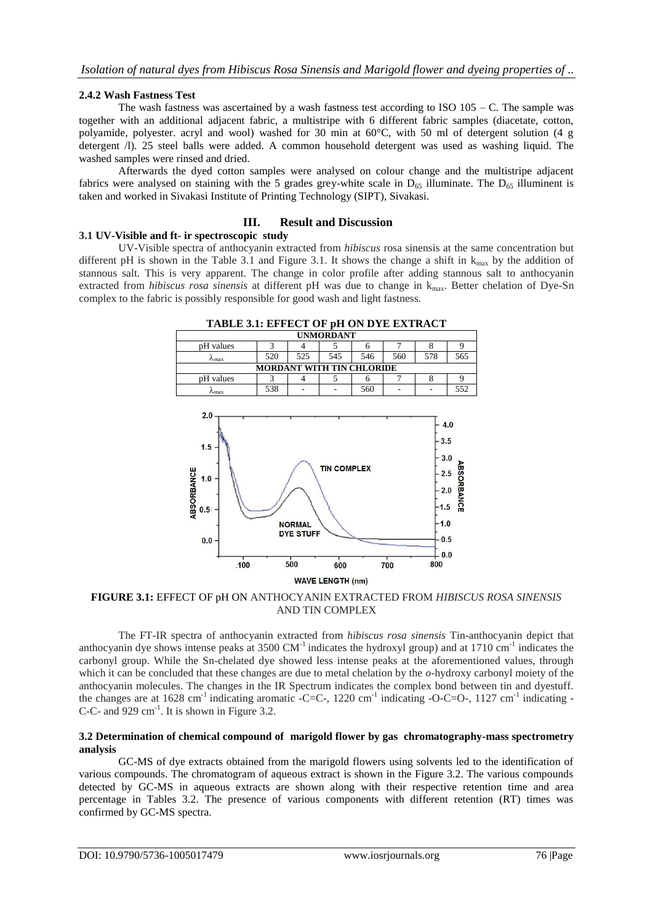## **2.4.2 Wash Fastness Test**

The wash fastness was ascertained by a wash fastness test according to ISO  $105 - C$ . The sample was together with an additional adjacent fabric, a multistripe with 6 different fabric samples (diacetate, cotton, polyamide, polyester. acryl and wool) washed for 30 min at 60°C, with 50 ml of detergent solution (4 g detergent /l). 25 steel balls were added. A common household detergent was used as washing liquid. The washed samples were rinsed and dried.

Afterwards the dyed cotton samples were analysed on colour change and the multistripe adjacent fabrics were analysed on staining with the 5 grades grey-white scale in  $D_{65}$  illuminate. The  $D_{65}$  illuminent is taken and worked in Sivakasi Institute of Printing Technology (SIPT), Sivakasi.

### **III. Result and Discussion**

#### **3.1 UV-Visible and ft- ir spectroscopic study**

UV-Visible spectra of anthocyanin extracted from *hibiscus* rosa sinensis at the same concentration but different pH is shown in the Table 3.1 and Figure 3.1. It shows the change a shift in  $k_{\text{max}}$  by the addition of stannous salt. This is very apparent. The change in color profile after adding stannous salt to anthocyanin extracted from *hibiscus rosa sinensis* at different pH was due to change in  $k_{\text{max}}$ . Better chelation of Dye-Sn complex to the fabric is possibly responsible for good wash and light fastness.



| <b>UNMORDANT</b>                 |     |     |     |     |     |     |     |
|----------------------------------|-----|-----|-----|-----|-----|-----|-----|
| pH values                        |     |     |     |     |     |     |     |
| /∿max                            | 520 | 525 | 545 | 546 | 560 | 578 | 565 |
| <b>MORDANT WITH TIN CHLORIDE</b> |     |     |     |     |     |     |     |
| pH values                        |     |     |     |     |     |     |     |
| /∿max                            | 538 |     |     | 560 |     |     | 552 |



**FIGURE 3.1:** EFFECT OF pH ON ANTHOCYANIN EXTRACTED FROM *HIBISCUS ROSA SINENSIS* AND TIN COMPLEX

The FT-IR spectra of anthocyanin extracted from *hibiscus rosa sinensis* Tin-anthocyanin depict that anthocyanin dye shows intense peaks at  $3500 \text{ CM}^{-1}$  indicates the hydroxyl group) and at  $1710 \text{ cm}^{-1}$  indicates the carbonyl group. While the Sn-chelated dye showed less intense peaks at the aforementioned values, through which it can be concluded that these changes are due to metal chelation by the *o*-hydroxy carbonyl moiety of the anthocyanin molecules. The changes in the IR Spectrum indicates the complex bond between tin and dyestuff. the changes are at 1628 cm<sup>-1</sup> indicating aromatic -C=C-, 1220 cm<sup>-1</sup> indicating -O-C=O-, 1127 cm<sup>-1</sup> indicating -C-C- and 929 cm<sup>-1</sup>. It is shown in Figure 3.2.

#### **3.2 Determination of chemical compound of marigold flower by gas chromatography-mass spectrometry analysis**

GC-MS of dye extracts obtained from the marigold flowers using solvents led to the identification of various compounds. The chromatogram of aqueous extract is shown in the Figure 3.2. The various compounds detected by GC-MS in aqueous extracts are shown along with their respective retention time and area percentage in Tables 3.2. The presence of various components with different retention (RT) times was confirmed by GC-MS spectra.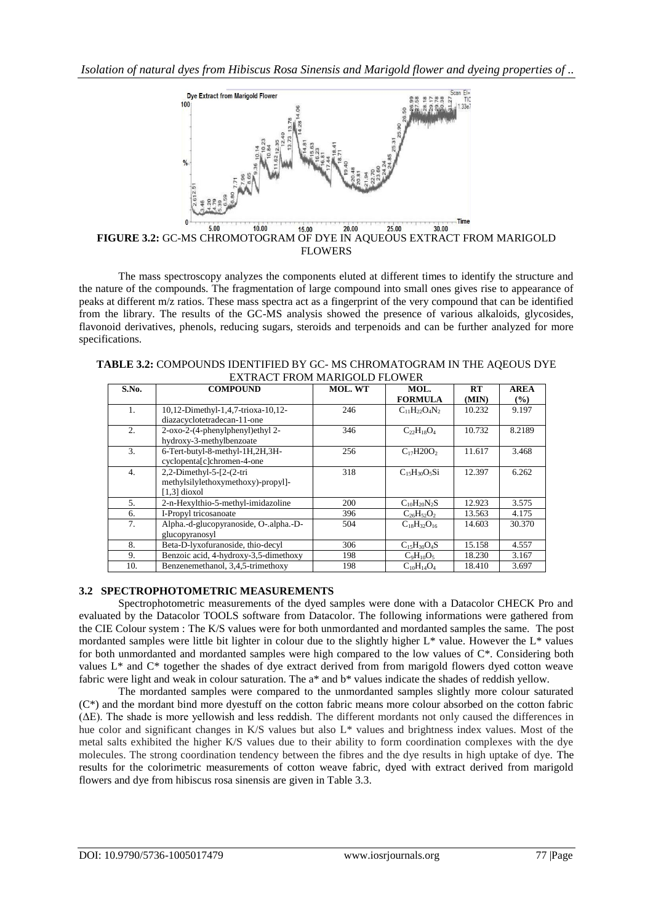

**FIGURE 3.2:** GC-MS CHROMOTOGRAM OF DYE IN AQUEOUS EXTRACT FROM MARIGOLD FLOWERS

The mass spectroscopy analyzes the components eluted at different times to identify the structure and the nature of the compounds. The fragmentation of large compound into small ones gives rise to appearance of peaks at different m/z ratios. These mass spectra act as a fingerprint of the very compound that can be identified from the library. The results of the GC-MS analysis showed the presence of various alkaloids, glycosides, flavonoid derivatives, phenols, reducing sugars, steroids and terpenoids and can be further analyzed for more specifications.

| S.No.          | <b>COMPOUND</b>                        | <b>MOL. WT</b> | MOL.                 | RT     | <b>AREA</b> |
|----------------|----------------------------------------|----------------|----------------------|--------|-------------|
|                |                                        |                | <b>FORMULA</b>       | (MIN)  | $($ %)      |
| $\mathbf{1}$ . | 10,12-Dimethyl-1,4,7-trioxa-10,12-     | 246            | $C_{11}H_{22}O_4N_2$ | 10.232 | 9.197       |
|                | diazacyclotetradecan-11-one            |                |                      |        |             |
| 2.             | 2-oxo-2-(4-phenylphenyl)ethyl 2-       | 346            | $C_{22}H_{18}O_4$    | 10.732 | 8.2189      |
|                | hydroxy-3-methylbenzoate               |                |                      |        |             |
| 3.             | 6-Tert-butyl-8-methyl-1H,2H,3H-        | 256            | $C_{17}H20O_2$       | 11.617 | 3.468       |
|                | cyclopenta[c]chromen-4-one             |                |                      |        |             |
| 4.             | 2,2-Dimethyl-5- $[2-(2-tri)]$          | 318            | $C_{15}H_{30}O_5Si$  | 12.397 | 6.262       |
|                | methylsilylethoxymethoxy)-propyl]-     |                |                      |        |             |
|                | $[1,3]$ dioxol                         |                |                      |        |             |
| 5 <sub>1</sub> | 2-n-Hexylthio-5-methyl-imidazoline     | 200            | $C_{10}H_{20}N_2S$   | 12.923 | 3.575       |
| 6.             | I-Propyl tricosanoate                  | 396            | $C_{26}H_{52}O_2$    | 13.563 | 4.175       |
| 7.             | Alpha.-d-glucopyranoside, O-.alpha.-D- | 504            | $C_{18}H_{32}O_{16}$ | 14.603 | 30.370      |
|                | glucopyranosyl                         |                |                      |        |             |
| 8.             | Beta-D-lyxofuranoside, thio-decyl      | 306            | $C_{15}H_{30}O_4S$   | 15.158 | 4.557       |
| 9.             | Benzoic acid, 4-hydroxy-3,5-dimethoxy  | 198            | $C_9H_{10}O_5$       | 18.230 | 3.167       |
| 10.            | Benzenemethanol, 3,4,5-trimethoxy      | 198            | $C_{10}H_{14}O_4$    | 18.410 | 3.697       |

| <b>TABLE 3.2: COMPOUNDS IDENTIFIED BY GC- MS CHROMATOGRAM IN THE AQEOUS DYE</b> |
|---------------------------------------------------------------------------------|
| EXTRACT FROM MARIGOLD FLOWER                                                    |

## **3.2 SPECTROPHOTOMETRIC MEASUREMENTS**

Spectrophotometric measurements of the dyed samples were done with a Datacolor CHECK Pro and evaluated by the Datacolor TOOLS software from Datacolor. The following informations were gathered from the CIE Colour system : The K/S values were for both unmordanted and mordanted samples the same. The post mordanted samples were little bit lighter in colour due to the slightly higher L\* value. However the L\* values for both unmordanted and mordanted samples were high compared to the low values of C\*. Considering both values L\* and C\* together the shades of dye extract derived from from marigold flowers dyed cotton weave fabric were light and weak in colour saturation. The a\* and b\* values indicate the shades of reddish yellow.

The mordanted samples were compared to the unmordanted samples slightly more colour saturated (C\*) and the mordant bind more dyestuff on the cotton fabric means more colour absorbed on the cotton fabric (ΔE). The shade is more yellowish and less reddish. The different mordants not only caused the differences in hue color and significant changes in K/S values but also  $L^*$  values and brightness index values. Most of the metal salts exhibited the higher K/S values due to their ability to form coordination complexes with the dye molecules. The strong coordination tendency between the fibres and the dye results in high uptake of dye. The results for the colorimetric measurements of cotton weave fabric, dyed with extract derived from marigold flowers and dye from hibiscus rosa sinensis are given in Table 3.3.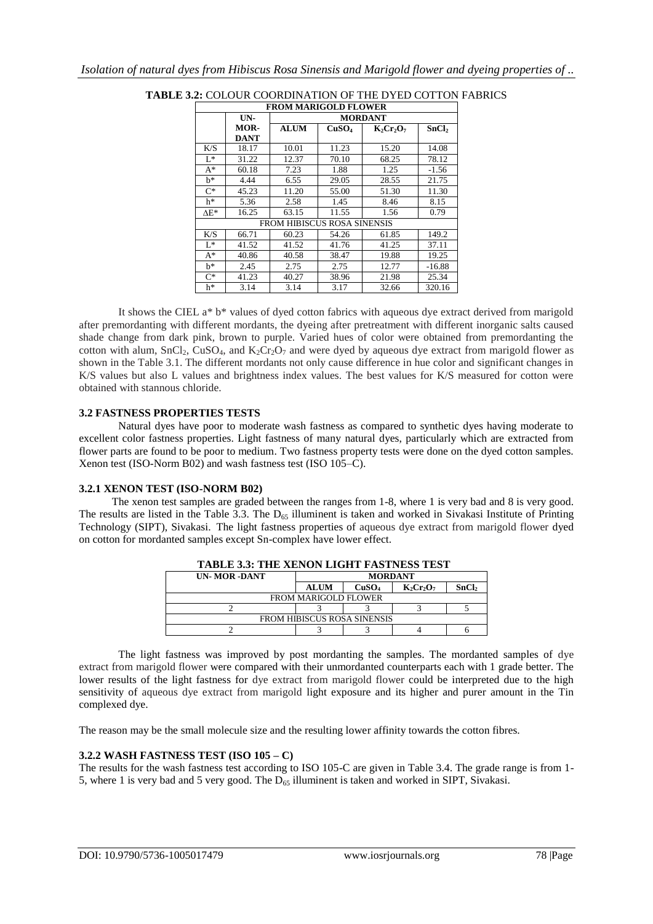|              | <b>FROM MARIGOLD FLOWER</b> |                |                   |              |                   |  |  |  |
|--------------|-----------------------------|----------------|-------------------|--------------|-------------------|--|--|--|
|              | UN-                         | <b>MORDANT</b> |                   |              |                   |  |  |  |
|              | <b>MOR-</b>                 | <b>ALUM</b>    | CuSO <sub>4</sub> | $K_2Cr_2O_7$ | SnCl <sub>2</sub> |  |  |  |
|              | <b>DANT</b>                 |                |                   |              |                   |  |  |  |
| K/S          | 18.17                       | 10.01          | 11.23             | 15.20        | 14.08             |  |  |  |
| $L^*$        | 31.22                       | 12.37          | 70.10             | 68.25        | 78.12             |  |  |  |
| $A^*$        | 60.18                       | 7.23           | 1.88              | 1.25         | $-1.56$           |  |  |  |
| h*           | 4.44                        | 6.55           | 29.05             | 28.55        | 21.75             |  |  |  |
| $C^*$        | 45.23                       | 11.20          | 55.00             | 51.30        | 11.30             |  |  |  |
| h*           | 5.36                        | 2.58           | 1.45              | 8.46         | 8.15              |  |  |  |
| $\Lambda$ E* | 16.25                       | 63.15          | 11.55             | 1.56         | 0.79              |  |  |  |
|              | FROM HIBISCUS ROSA SINENSIS |                |                   |              |                   |  |  |  |
| K/S          | 66.71                       | 60.23          | 54.26             | 61.85        | 149.2             |  |  |  |
| $L^*$        | 41.52                       | 41.52          | 41.76             | 41.25        | 37.11             |  |  |  |
| $A^*$        | 40.86                       | 40.58          | 38.47             | 19.88        | 19.25             |  |  |  |
| $h^*$        | 2.45                        | 2.75           | 2.75              | 12.77        | $-16.88$          |  |  |  |
| $C^*$        | 41.23                       | 40.27          | 38.96             | 21.98        | 25.34             |  |  |  |
| h*           | 3.14                        | 3.14           | 3.17              | 32.66        | 320.16            |  |  |  |

**TABLE 3.2:** COLOUR COORDINATION OF THE DYED COTTON FABRICS

It shows the CIEL a\* b\* values of dyed cotton fabrics with aqueous dye extract derived from marigold after premordanting with different mordants, the dyeing after pretreatment with different inorganic salts caused shade change from dark pink, brown to purple. Varied hues of color were obtained from premordanting the cotton with alum,  $SnCl<sub>2</sub>$ ,  $CuSO<sub>4</sub>$ , and  $K<sub>2</sub>Cr<sub>2</sub>O<sub>7</sub>$  and were dyed by aqueous dye extract from marigold flower as shown in the Table 3.1. The different mordants not only cause difference in hue color and significant changes in K/S values but also L values and brightness index values. The best values for K/S measured for cotton were obtained with stannous chloride.

### **3.2 FASTNESS PROPERTIES TESTS**

Natural dyes have poor to moderate wash fastness as compared to synthetic dyes having moderate to excellent color fastness properties. Light fastness of many natural dyes, particularly which are extracted from flower parts are found to be poor to medium. Two fastness property tests were done on the dyed cotton samples. Xenon test (ISO-Norm B02) and wash fastness test (ISO 105–C).

## **3.2.1 XENON TEST (ISO-NORM B02)**

 The xenon test samples are graded between the ranges from 1-8, where 1 is very bad and 8 is very good. The results are listed in the Table 3.3. The  $D_{65}$  illuminent is taken and worked in Sivakasi Institute of Printing Technology (SIPT), Sivakasi. The light fastness properties of aqueous dye extract from marigold flower dyed on cotton for mordanted samples except Sn-complex have lower effect.

| TABLE 3.3: THE XENON LIGHT FASTNESS TEST |                |                   |              |                   |  |  |  |
|------------------------------------------|----------------|-------------------|--------------|-------------------|--|--|--|
| <b>UN-MOR-DANT</b>                       | <b>MORDANT</b> |                   |              |                   |  |  |  |
|                                          | <b>ALUM</b>    | CuSO <sub>4</sub> | $K_2Cr_2O_7$ | SnCl <sub>2</sub> |  |  |  |
| <b>FROM MARIGOLD FLOWER</b>              |                |                   |              |                   |  |  |  |
|                                          |                |                   |              |                   |  |  |  |
| <b>FROM HIBISCUS ROSA SINENSIS</b>       |                |                   |              |                   |  |  |  |
|                                          |                |                   |              |                   |  |  |  |

**TABLE 3.3: THE XENON LIGHT FASTNESS TEST** 

The light fastness was improved by post mordanting the samples. The mordanted samples of dye extract from marigold flower were compared with their unmordanted counterparts each with 1 grade better. The lower results of the light fastness for dye extract from marigold flower could be interpreted due to the high sensitivity of aqueous dye extract from marigold light exposure and its higher and purer amount in the Tin complexed dye.

The reason may be the small molecule size and the resulting lower affinity towards the cotton fibres.

## **3.2.2 WASH FASTNESS TEST (ISO 105 – C)**

The results for the wash fastness test according to ISO 105-C are given in Table 3.4. The grade range is from 1- 5, where 1 is very bad and 5 very good. The D<sub>65</sub> illuminent is taken and worked in SIPT, Sivakasi.